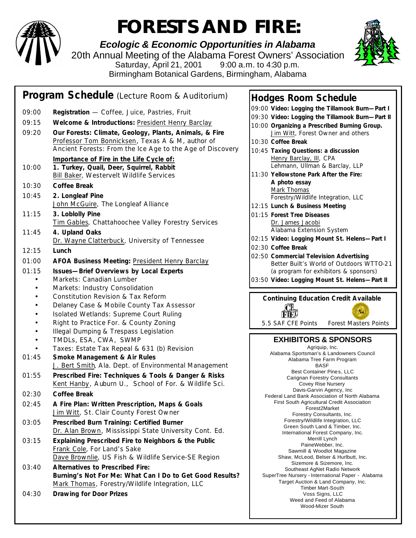

## **FORESTS AND FIRE:**

*Ecologic & Economic Opportunities in Alabama* 20th Annual Meeting of the Alabama Forest Owners' Association Saturday, April 21, 2001 9:00 a.m. to 4:30 p.m. Birmingham Botanical Gardens, Birmingham, Alabama



#### **Program Schedule** (Lecture Room & Auditorium) 09:00 **Registration** — Coffee, Juice, Pastries, Fruit 09:15 **Welcome & Introductions:** President Henry Barclay 09:20 **Our Forests: Climate, Geology, Plants, Animals, & Fire** Professor Tom Bonnicksen, Texas A & M, author of *Ancient Forests: From the Ice Age to the Age of Discovery Importance of Fire in the Life Cycle of:* 10:00 **1. Turkey, Quail, Deer, Squirrel, Rabbit** Bill Baker, Westervelt Wildlife Services 10:30 **Coffee Break** 10:45 **2. Longleaf Pine** John McGuire, The Longleaf Alliance 11:15 **3. Loblolly Pine** Tim Gables, Chattahoochee Valley Forestry Services 11:45 **4. Upland Oaks** Dr. Wayne Clatterbuck, University of Tennessee 12:15 **Lunch** 01:00 **AFOA Business Meeting:** President Henry Barclay 01:15 **Issues—Brief Overviews by Local Experts** • Markets: Canadian Lumber • Markets: Industry Consolidation • Constitution Revision & Tax Reform • Delaney Case & Mobile County Tax Assessor • Isolated Wetlands: Supreme Court Ruling • Right to Practice For. & County Zoning • Illegal Dumping & Trespass Legislation • TMDLs, ESA, CWA, SWMP • Taxes: Estate Tax Repeal & 631 (b) Revision 01:45 **Smoke Management & Air Rules** J. Bert Smith, Ala. Dept. of Environmental Management 01:55 **Prescribed Fire: Techniques & Tools & Danger & Risks** Kent Hanby, Auburn U., School of For. & Wildlife Sci. 02:30 **Coffee Break** 02:45 **A Fire Plan: Written Prescription, Maps & Goals** Jim Witt, St. Clair County Forest Owner 03:05 **Prescribed Burn Training: Certified Burner** Dr. Alan Brown, Mississippi State University Cont. Ed. 03:15 **Explaining Prescribed Fire to Neighbors & the Public** Frank Cole, For Land's Sake Dave Brownlie, US Fish & Wildlife Service-SE Region 03:40 **Alternatives to Prescribed Fire:** *Burning's Not For Me: What Can I Do to Get Good Results?* Mark Thomas, Forestry/Wildlife Integration, LLC 04:30 **Drawing for Door Prizes**

#### **Hodges Room Schedule**

09:00 **Video: Logging the Tillamook Burn—Part I** 09:30 **Video: Logging the Tillamook Burn—Part II** 10:00 **Organizing a Prescribed Burning Group.** Jim Witt, Forest Owner and others 10:30 **Coffee Break** 10:45 **Taxing Questions: a discussion** Henry Barclay, III, CPA Lehmann, Ullman & Barclay, LLP 11:30 **Yellowstone Park After the Fire: A photo essay** Mark Thomas Forestry/Wildlife Integration, LLC 12:15 **Lunch & Business Meeting** 01:15 **Forest Tree Diseases** Dr. James Jacobi Alabama Extension System 02:15 **Video: Logging Mount St. Helens—Part I** 02:30 **Coffee Break** 02:50 **Commercial Television Advertising** Better Built's World of Outdoors WTTO-21 (a program for exhibitors & sponsors) 03:50 **Video: Logging Mount St. Helens—Part II Continuing Education Credit Available**  $F_M$ 5.5 SAF CFE Points Forest Masters Points **EXHIBITORS & SPONSORS** Agriquip, Inc. Alabama Sportsman's & Landowners Council Alabama Tree Farm Program BASF Best Container Pines, LLC Carignan Forestry Consultants Covey Rise Nursery Davis-Garvin Agency, Inc Federal Land Bank Association of North Alabama First South Agricultural Credit Association Forest2Market Forestry Consultants, Inc. Forestry/Wildlife Integration, LLC Green South Land & Timber, Inc. International Forest Company, Inc. Merrill Lynch PaineWebber, Inc. Sawmill & Woodlot Magazine Shaw, McLeod, Belser & Hurlbutt, Inc. Sizemore & Sizemore, Inc. Southeast AgNet Radio Network SuperTree Nursery - International Paper - Alabama Target Auction & Land Company, Inc. Timber Mart-South Voss Signs, LLC Weed and Feed of Alabama

Wood-Mizer South